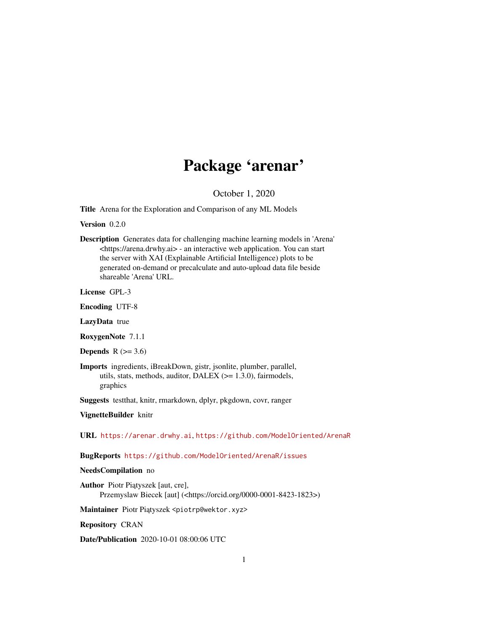# Package 'arenar'

October 1, 2020

Title Arena for the Exploration and Comparison of any ML Models

Version 0.2.0

Description Generates data for challenging machine learning models in 'Arena' <https://arena.drwhy.ai> - an interactive web application. You can start the server with XAI (Explainable Artificial Intelligence) plots to be generated on-demand or precalculate and auto-upload data file beside shareable 'Arena' URL.

License GPL-3

Encoding UTF-8

LazyData true

RoxygenNote 7.1.1

Depends  $R$  ( $>= 3.6$ )

Imports ingredients, iBreakDown, gistr, jsonlite, plumber, parallel, utils, stats, methods, auditor, DALEX (>= 1.3.0), fairmodels, graphics

Suggests testthat, knitr, rmarkdown, dplyr, pkgdown, covr, ranger

VignetteBuilder knitr

URL <https://arenar.drwhy.ai>, <https://github.com/ModelOriented/ArenaR>

BugReports <https://github.com/ModelOriented/ArenaR/issues>

#### NeedsCompilation no

Author Piotr Piątyszek [aut, cre], Przemyslaw Biecek [aut] (<https://orcid.org/0000-0001-8423-1823>)

Maintainer Piotr Piątyszek <piotrp@wektor.xyz>

Repository CRAN

Date/Publication 2020-10-01 08:00:06 UTC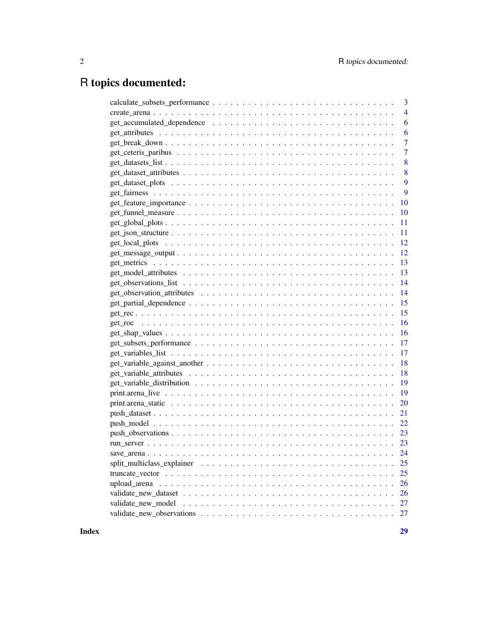# R topics documented:

| 3              |
|----------------|
| $\overline{4}$ |
| 6              |
| 6              |
| 7              |
| 7              |
| 8              |
| 8              |
| 9              |
| 9              |
| 10             |
| <b>10</b>      |
| 11             |
| 11             |
| 12             |
| 12             |
| 13             |
| 13             |
| 14             |
| 14             |
| 15             |
| 15             |
| 16             |
| $-16$          |
|                |
| 17             |
| 18             |
| 18             |
| 19             |
| 19             |
| <b>20</b>      |
| 21             |
| 22             |
|                |
|                |
|                |
| 25             |
| 25             |
| 26             |
| 26             |
| 27             |
| 27             |
|                |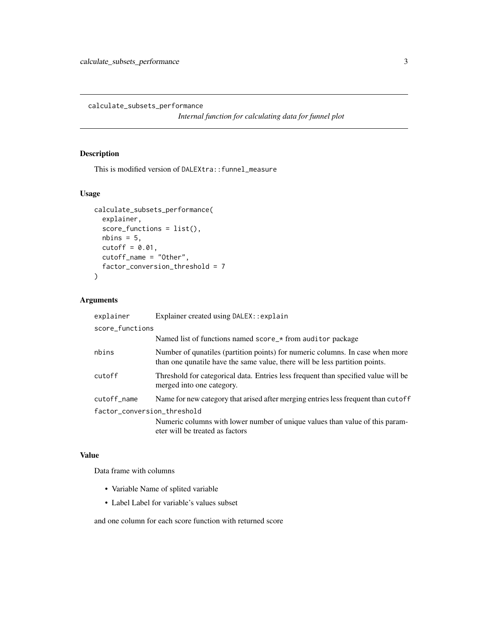<span id="page-2-0"></span>calculate\_subsets\_performance

*Internal function for calculating data for funnel plot*

## Description

This is modified version of DALEXtra::funnel\_measure

## Usage

```
calculate_subsets_performance(
  explainer,
  score_functions = list(),
 nbins = 5,
 cutoff = 0.01,
  cutoff_name = "Other",
  factor_conversion_threshold = 7
\mathcal{L}
```
## Arguments

| explainer                   | Explainer created using DALEX: : explain                                                                                                                     |
|-----------------------------|--------------------------------------------------------------------------------------------------------------------------------------------------------------|
| score_functions             |                                                                                                                                                              |
|                             | Named list of functions named score_* from auditor package                                                                                                   |
| nbins                       | Number of qunatiles (partition points) for numeric columns. In case when more<br>than one qunatile have the same value, there will be less partition points. |
| cutoff                      | Threshold for categorical data. Entries less frequent than specified value will be<br>merged into one category.                                              |
| cutoff_name                 | Name for new category that arised after merging entries less frequent than cutoff                                                                            |
| factor_conversion_threshold |                                                                                                                                                              |
|                             | Numeric columns with lower number of unique values than value of this param-<br>eter will be treated as factors                                              |

#### Value

Data frame with columns

- Variable Name of splited variable
- Label Label for variable's values subset

and one column for each score function with returned score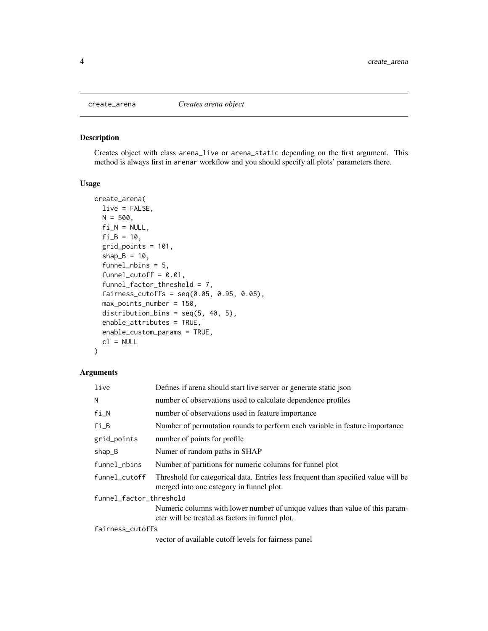<span id="page-3-0"></span>

Creates object with class arena\_live or arena\_static depending on the first argument. This method is always first in arenar workflow and you should specify all plots' parameters there.

## Usage

```
create_arena(
  live = FALSE,
 N = 500,fi_N = NULL,fi_B = 10,grid_points = 101,
  shape_B = 10,
  funnel_nbins = 5,
  funnel-cutoff = 0.01,
  funnel_factor_threshold = 7,
  fairness_cutoffs = seq(0.05, 0.95, 0.05),
 max_points_number = 150,
  distribution_bins = seq(5, 40, 5),
  enable_attributes = TRUE,
  enable_custom_params = TRUE,
  cl = NULL)
```
#### Arguments

| live                    | Defines if arena should start live server or generate static json                                                               |  |
|-------------------------|---------------------------------------------------------------------------------------------------------------------------------|--|
| N                       | number of observations used to calculate dependence profiles                                                                    |  |
| fi_N                    | number of observations used in feature importance                                                                               |  |
| fi_B                    | Number of permutation rounds to perform each variable in feature importance                                                     |  |
| grid_points             | number of points for profile                                                                                                    |  |
| $shap_B$                | Numer of random paths in SHAP                                                                                                   |  |
| funnel_nbins            | Number of partitions for numeric columns for funnel plot                                                                        |  |
| funnel_cutoff           | Threshold for categorical data. Entries less frequent than specified value will be<br>merged into one category in funnel plot.  |  |
| funnel_factor_threshold |                                                                                                                                 |  |
|                         | Numeric columns with lower number of unique values than value of this param-<br>eter will be treated as factors in funnel plot. |  |
| fairness_cutoffs        |                                                                                                                                 |  |
|                         | vector of available cutoff levels for fairness panel                                                                            |  |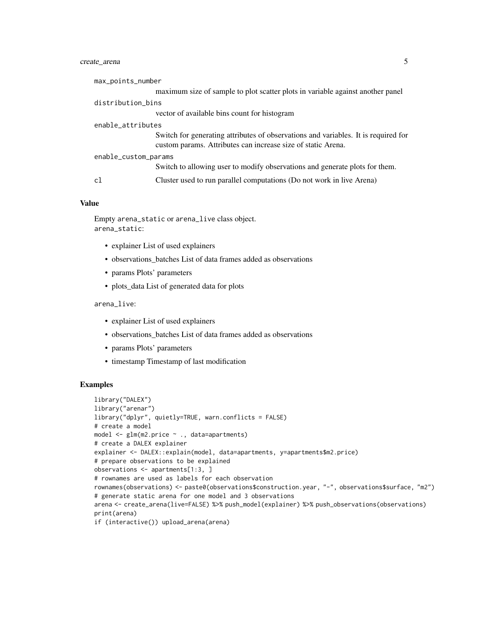## create\_arena 5

| max_points_number    |                                                                                                                                                    |
|----------------------|----------------------------------------------------------------------------------------------------------------------------------------------------|
|                      | maximum size of sample to plot scatter plots in variable against another panel                                                                     |
| distribution_bins    |                                                                                                                                                    |
|                      | vector of available bins count for histogram                                                                                                       |
| enable_attributes    |                                                                                                                                                    |
|                      | Switch for generating attributes of observations and variables. It is required for<br>custom params. Attributes can increase size of static Arena. |
| enable_custom_params |                                                                                                                                                    |
|                      | Switch to allowing user to modify observations and generate plots for them.                                                                        |
| cl                   | Cluster used to run parallel computations (Do not work in live Arena)                                                                              |

#### Value

```
Empty arena_static or arena_live class object.
arena_static:
```
- explainer List of used explainers
- observations\_batches List of data frames added as observations
- params Plots' parameters
- plots\_data List of generated data for plots

arena\_live:

- explainer List of used explainers
- observations batches List of data frames added as observations
- params Plots' parameters
- timestamp Timestamp of last modification

#### Examples

```
library("DALEX")
library("arenar")
library("dplyr", quietly=TRUE, warn.conflicts = FALSE)
# create a model
model <- glm(m2.price ~ ., data=apartments)
# create a DALEX explainer
explainer <- DALEX::explain(model, data=apartments, y=apartments$m2.price)
# prepare observations to be explained
observations <- apartments[1:3, ]
# rownames are used as labels for each observation
rownames(observations) <- paste0(observations$construction.year, "-", observations$surface, "m2")
# generate static arena for one model and 3 observations
arena <- create_arena(live=FALSE) %>% push_model(explainer) %>% push_observations(observations)
print(arena)
if (interactive()) upload_arena(arena)
```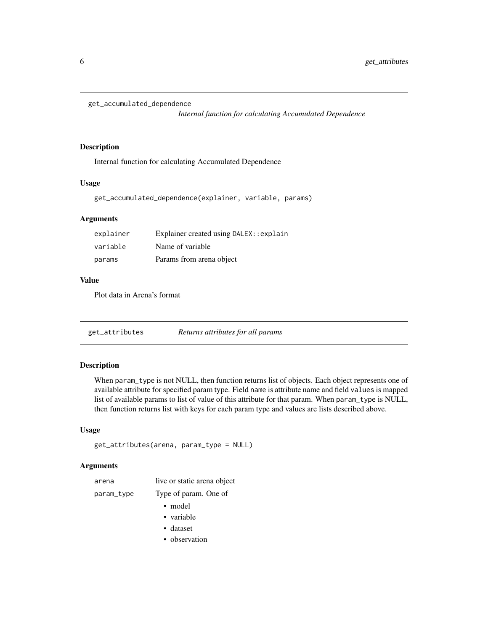```
get_accumulated_dependence
```
*Internal function for calculating Accumulated Dependence*

#### Description

Internal function for calculating Accumulated Dependence

#### Usage

get\_accumulated\_dependence(explainer, variable, params)

## Arguments

| explainer | Explainer created using DALEX: : explain |
|-----------|------------------------------------------|
| variable  | Name of variable                         |
| params    | Params from arena object                 |

#### Value

Plot data in Arena's format

get\_attributes *Returns attributes for all params*

## Description

When param\_type is not NULL, then function returns list of objects. Each object represents one of available attribute for specified param type. Field name is attribute name and field values is mapped list of available params to list of value of this attribute for that param. When param\_type is NULL, then function returns list with keys for each param type and values are lists described above.

## Usage

```
get_attributes(arena, param_type = NULL)
```
## Arguments

| arena      | live or static arena object |
|------------|-----------------------------|
| param_type | Type of param. One of       |
|            | • model                     |
|            | • variable                  |
|            | • dataset                   |

• observation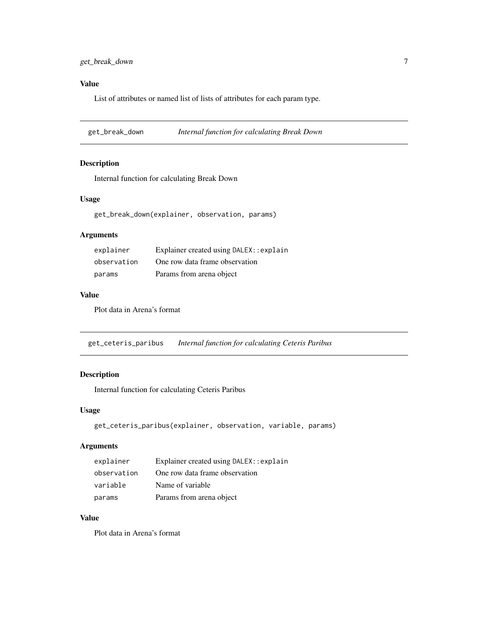## <span id="page-6-0"></span>Value

List of attributes or named list of lists of attributes for each param type.

get\_break\_down *Internal function for calculating Break Down*

## Description

Internal function for calculating Break Down

#### Usage

get\_break\_down(explainer, observation, params)

#### Arguments

| explainer   | Explainer created using DALEX: : explain |
|-------------|------------------------------------------|
| observation | One row data frame observation           |
| params      | Params from arena object                 |

#### Value

Plot data in Arena's format

get\_ceteris\_paribus *Internal function for calculating Ceteris Paribus*

## Description

Internal function for calculating Ceteris Paribus

#### Usage

```
get_ceteris_paribus(explainer, observation, variable, params)
```
## Arguments

| explainer   | Explainer created using DALEX: : explain |
|-------------|------------------------------------------|
| observation | One row data frame observation           |
| variable    | Name of variable                         |
| params      | Params from arena object                 |

## Value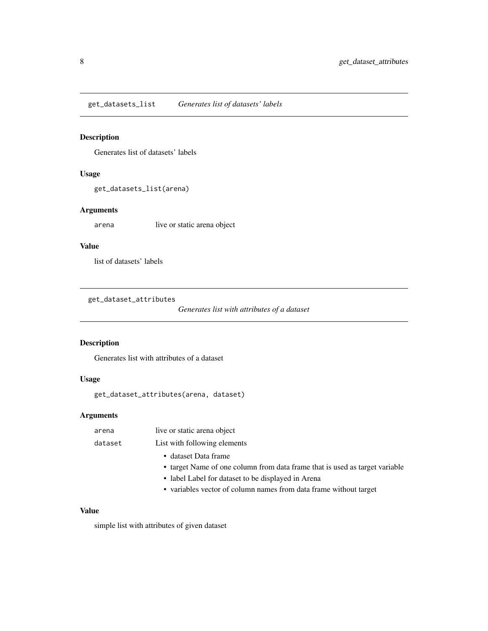<span id="page-7-0"></span>get\_datasets\_list *Generates list of datasets' labels*

## Description

Generates list of datasets' labels

## Usage

get\_datasets\_list(arena)

## Arguments

arena live or static arena object

#### Value

list of datasets' labels

get\_dataset\_attributes

```
Generates list with attributes of a dataset
```
## Description

Generates list with attributes of a dataset

## Usage

get\_dataset\_attributes(arena, dataset)

## Arguments

| arena   | live or static arena object                                                 |
|---------|-----------------------------------------------------------------------------|
| dataset | List with following elements                                                |
|         | • dataset Data frame                                                        |
|         | • target Name of one column from data frame that is used as target variable |
|         | • label Label for dataset to be displayed in Arena                          |
|         | • variables vector of column names from data frame without target           |
|         |                                                                             |

## Value

simple list with attributes of given dataset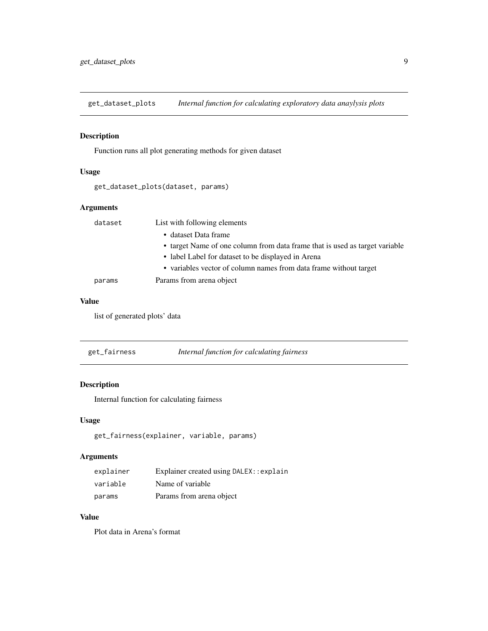<span id="page-8-0"></span>get\_dataset\_plots *Internal function for calculating exploratory data anaylysis plots*

## Description

Function runs all plot generating methods for given dataset

## Usage

get\_dataset\_plots(dataset, params)

#### Arguments

| dataset | List with following elements                                                |  |
|---------|-----------------------------------------------------------------------------|--|
|         | • dataset Data frame                                                        |  |
|         | • target Name of one column from data frame that is used as target variable |  |
|         | • label Label for dataset to be displayed in Arena                          |  |
|         | • variables vector of column names from data frame without target           |  |
| params  | Params from arena object                                                    |  |

#### Value

list of generated plots' data

| get_fairness | Internal function for calculating fairness |  |
|--------------|--------------------------------------------|--|
|--------------|--------------------------------------------|--|

## Description

Internal function for calculating fairness

## Usage

```
get_fairness(explainer, variable, params)
```
## Arguments

| explainer | Explainer created using DALEX: : explain |
|-----------|------------------------------------------|
| variable  | Name of variable                         |
| params    | Params from arena object                 |

## Value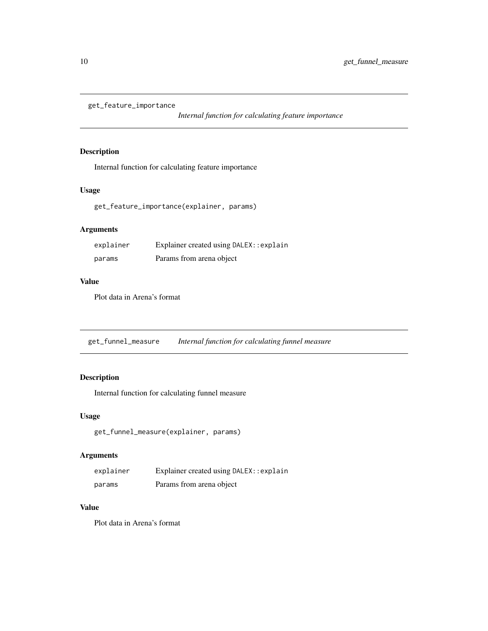<span id="page-9-0"></span>get\_feature\_importance

*Internal function for calculating feature importance*

## Description

Internal function for calculating feature importance

## Usage

get\_feature\_importance(explainer, params)

## Arguments

| explainer | Explainer created using DALEX: : explain |
|-----------|------------------------------------------|
| params    | Params from arena object                 |

## Value

Plot data in Arena's format

get\_funnel\_measure *Internal function for calculating funnel measure*

## Description

Internal function for calculating funnel measure

## Usage

```
get_funnel_measure(explainer, params)
```
## Arguments

| explainer | Explainer created using DALEX: : explain |
|-----------|------------------------------------------|
| params    | Params from arena object                 |

#### Value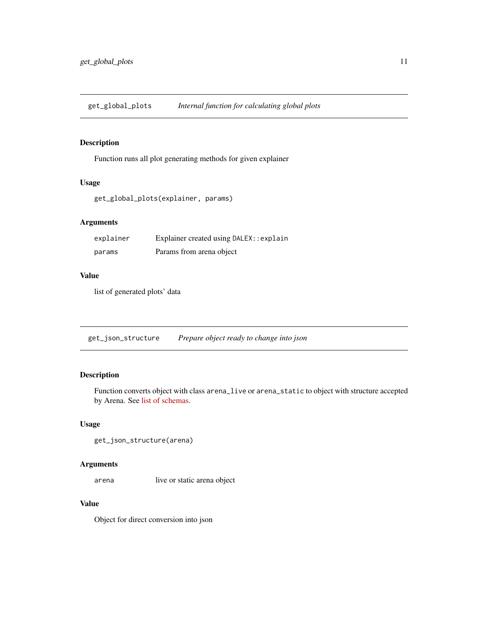<span id="page-10-0"></span>get\_global\_plots *Internal function for calculating global plots*

## Description

Function runs all plot generating methods for given explainer

#### Usage

```
get_global_plots(explainer, params)
```
## Arguments

| explainer | Explainer created using DALEX: : explain |
|-----------|------------------------------------------|
| params    | Params from arena object                 |

## Value

list of generated plots' data

get\_json\_structure *Prepare object ready to change into json*

## Description

Function converts object with class arena\_live or arena\_static to object with structure accepted by Arena. See [list of schemas.](https://github.com/ModelOriented/Arena/tree/master/src/store/schemas)

## Usage

```
get_json_structure(arena)
```
#### Arguments

arena live or static arena object

## Value

Object for direct conversion into json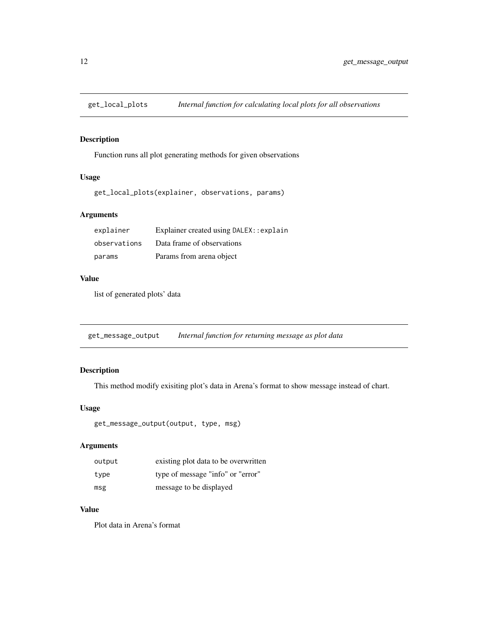<span id="page-11-0"></span>

Function runs all plot generating methods for given observations

#### Usage

get\_local\_plots(explainer, observations, params)

## Arguments

| explainer    | Explainer created using DALEX: : explain |
|--------------|------------------------------------------|
| observations | Data frame of observations               |
| params       | Params from arena object                 |

#### Value

list of generated plots' data

get\_message\_output *Internal function for returning message as plot data*

## Description

This method modify exisiting plot's data in Arena's format to show message instead of chart.

## Usage

```
get_message_output(output, type, msg)
```
## Arguments

| output | existing plot data to be overwritten |
|--------|--------------------------------------|
| type   | type of message "info" or "error"    |
| msg    | message to be displayed              |

#### Value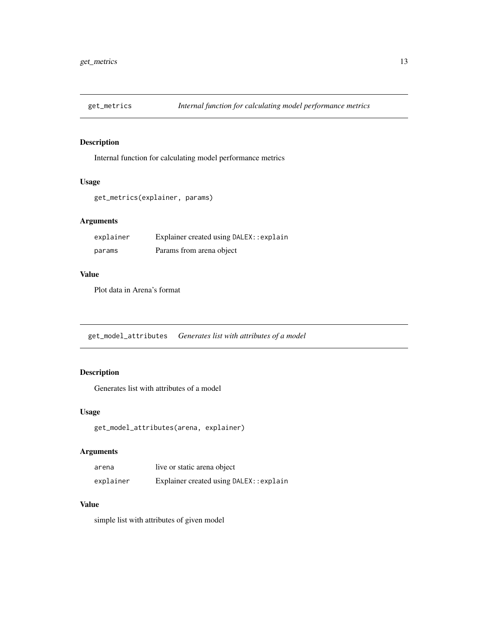<span id="page-12-0"></span>

Internal function for calculating model performance metrics

## Usage

```
get_metrics(explainer, params)
```
## Arguments

| explainer | Explainer created using DALEX: : explain |
|-----------|------------------------------------------|
| params    | Params from arena object                 |

#### Value

Plot data in Arena's format

get\_model\_attributes *Generates list with attributes of a model*

## Description

Generates list with attributes of a model

#### Usage

get\_model\_attributes(arena, explainer)

## Arguments

| arena     | live or static arena object              |
|-----------|------------------------------------------|
| explainer | Explainer created using DALEX: : explain |

## Value

simple list with attributes of given model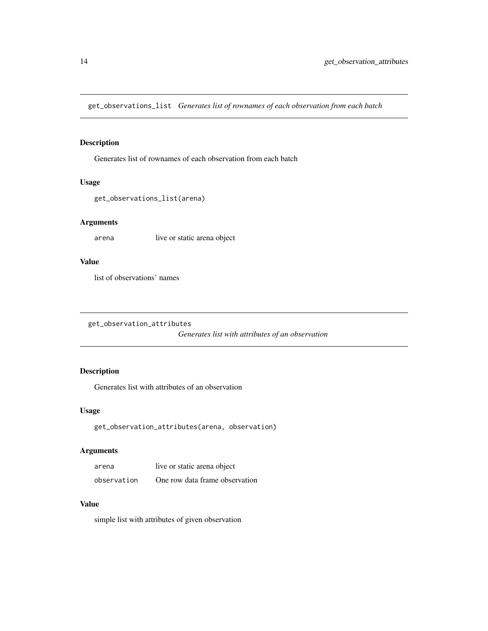<span id="page-13-0"></span>get\_observations\_list *Generates list of rownames of each observation from each batch*

## Description

Generates list of rownames of each observation from each batch

#### Usage

get\_observations\_list(arena)

## Arguments

arena live or static arena object

#### Value

list of observations' names

get\_observation\_attributes

*Generates list with attributes of an observation*

## Description

Generates list with attributes of an observation

#### Usage

```
get_observation_attributes(arena, observation)
```
## Arguments

| arena       | live or static arena object    |
|-------------|--------------------------------|
| observation | One row data frame observation |

## Value

simple list with attributes of given observation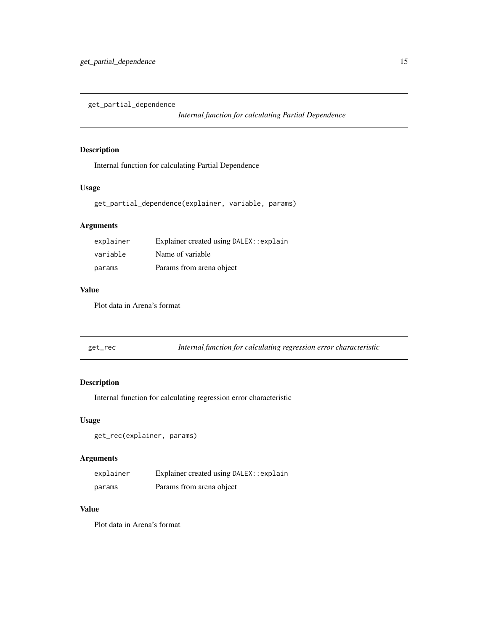<span id="page-14-0"></span>get\_partial\_dependence

*Internal function for calculating Partial Dependence*

## Description

Internal function for calculating Partial Dependence

## Usage

```
get_partial_dependence(explainer, variable, params)
```
## Arguments

| explainer | Explainer created using DALEX: : explain |
|-----------|------------------------------------------|
| variable  | Name of variable                         |
| params    | Params from arena object                 |

## Value

Plot data in Arena's format

| Internal function for calculating regression error characteristic<br>get_rec |  |
|------------------------------------------------------------------------------|--|
|------------------------------------------------------------------------------|--|

## Description

Internal function for calculating regression error characteristic

## Usage

get\_rec(explainer, params)

## Arguments

| explainer | Explainer created using DALEX: : explain |
|-----------|------------------------------------------|
| params    | Params from arena object                 |

## Value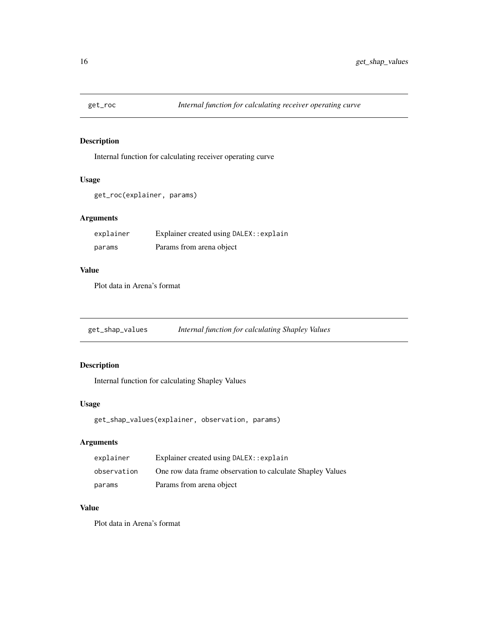<span id="page-15-0"></span>

Internal function for calculating receiver operating curve

## Usage

```
get_roc(explainer, params)
```
## Arguments

| explainer | Explainer created using DALEX: : explain |
|-----------|------------------------------------------|
| params    | Params from arena object                 |

### Value

Plot data in Arena's format

get\_shap\_values *Internal function for calculating Shapley Values*

## Description

Internal function for calculating Shapley Values

#### Usage

get\_shap\_values(explainer, observation, params)

## Arguments

| explainer   | Explainer created using DALEX: : explain                   |
|-------------|------------------------------------------------------------|
| observation | One row data frame observation to calculate Shapley Values |
| params      | Params from arena object                                   |

#### Value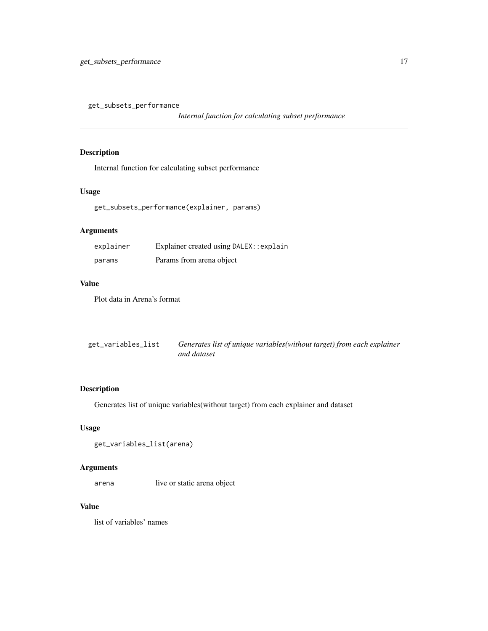<span id="page-16-0"></span>get\_subsets\_performance

*Internal function for calculating subset performance*

## Description

Internal function for calculating subset performance

## Usage

get\_subsets\_performance(explainer, params)

## Arguments

| explainer | Explainer created using DALEX: : explain |
|-----------|------------------------------------------|
| params    | Params from arena object                 |

#### Value

Plot data in Arena's format

| get_variables_list | Generates list of unique variables (without target) from each explainer |
|--------------------|-------------------------------------------------------------------------|
|                    | and dataset                                                             |

## Description

Generates list of unique variables(without target) from each explainer and dataset

## Usage

```
get_variables_list(arena)
```
## Arguments

arena live or static arena object

#### Value

list of variables' names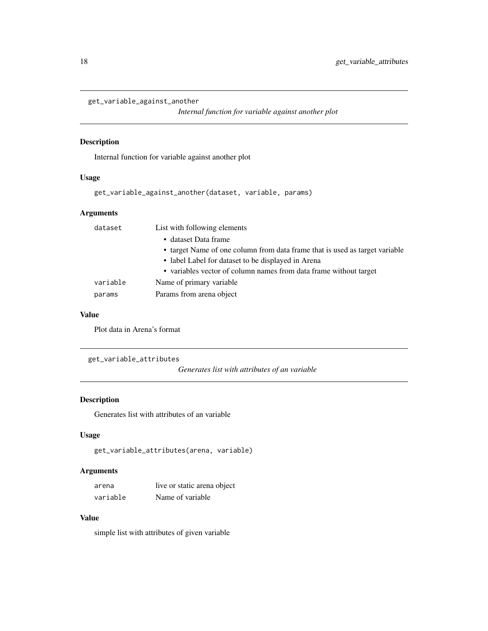```
get_variable_against_another
```
*Internal function for variable against another plot*

## Description

Internal function for variable against another plot

#### Usage

```
get_variable_against_another(dataset, variable, params)
```
## Arguments

| dataset  | List with following elements                                                |
|----------|-----------------------------------------------------------------------------|
|          | • dataset Data frame                                                        |
|          | • target Name of one column from data frame that is used as target variable |
|          | • label Label for dataset to be displayed in Arena                          |
|          | • variables vector of column names from data frame without target           |
| variable | Name of primary variable.                                                   |
| params   | Params from arena object                                                    |
|          |                                                                             |

#### Value

Plot data in Arena's format

get\_variable\_attributes

*Generates list with attributes of an variable*

## Description

Generates list with attributes of an variable

## Usage

```
get_variable_attributes(arena, variable)
```
#### Arguments

| arena    | live or static arena object |
|----------|-----------------------------|
| variable | Name of variable            |

## Value

simple list with attributes of given variable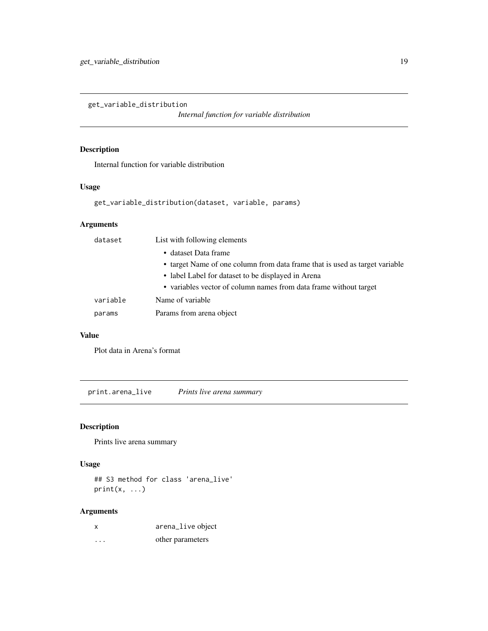<span id="page-18-0"></span>get\_variable\_distribution

*Internal function for variable distribution*

## Description

Internal function for variable distribution

#### Usage

get\_variable\_distribution(dataset, variable, params)

## Arguments

| dataset  | List with following elements                                                |
|----------|-----------------------------------------------------------------------------|
|          | • dataset Data frame                                                        |
|          | • target Name of one column from data frame that is used as target variable |
|          | • label Label for dataset to be displayed in Arena                          |
|          | • variables vector of column names from data frame without target           |
| variable | Name of variable                                                            |
| params   | Params from arena object                                                    |

## Value

Plot data in Arena's format

print.arena\_live *Prints live arena summary*

## Description

Prints live arena summary

## Usage

## S3 method for class 'arena\_live'  $print(x, \ldots)$ 

## Arguments

| x | arena_live object |
|---|-------------------|
| . | other parameters  |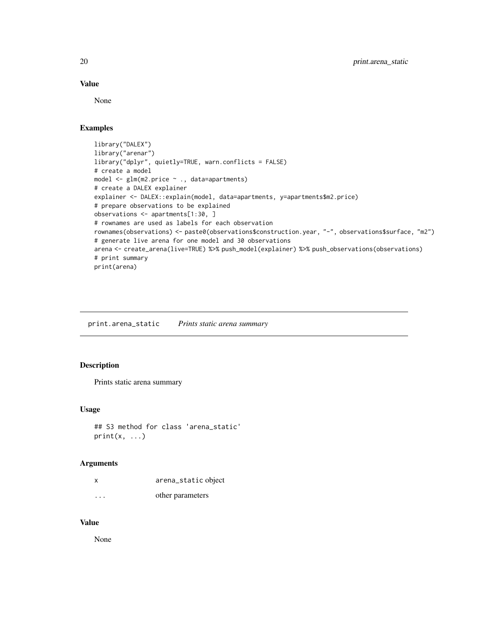#### Value

None

## Examples

```
library("DALEX")
library("arenar")
library("dplyr", quietly=TRUE, warn.conflicts = FALSE)
# create a model
model <- glm(m2.price ~ ., data=apartments)
# create a DALEX explainer
explainer <- DALEX::explain(model, data=apartments, y=apartments$m2.price)
# prepare observations to be explained
observations <- apartments[1:30, ]
# rownames are used as labels for each observation
rownames(observations) <- paste0(observations$construction.year, "-", observations$surface, "m2")
# generate live arena for one model and 30 observations
arena <- create_arena(live=TRUE) %>% push_model(explainer) %>% push_observations(observations)
# print summary
print(arena)
```
print.arena\_static *Prints static arena summary*

#### Description

Prints static arena summary

#### Usage

```
## S3 method for class 'arena_static'
print(x, \ldots)
```
#### Arguments

| X        | arena_static object |
|----------|---------------------|
| $\cdots$ | other parameters    |

## Value

None

<span id="page-19-0"></span>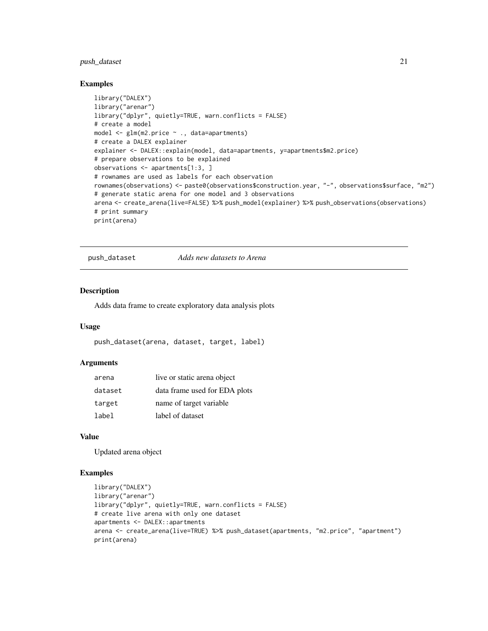## <span id="page-20-0"></span>push\_dataset 21

#### Examples

```
library("DALEX")
library("arenar")
library("dplyr", quietly=TRUE, warn.conflicts = FALSE)
# create a model
model <- glm(m2.price ~ ., data=apartments)
# create a DALEX explainer
explainer <- DALEX::explain(model, data=apartments, y=apartments$m2.price)
# prepare observations to be explained
observations <- apartments[1:3, ]
# rownames are used as labels for each observation
rownames(observations) <- paste0(observations$construction.year, "-", observations$surface, "m2")
# generate static arena for one model and 3 observations
arena <- create_arena(live=FALSE) %>% push_model(explainer) %>% push_observations(observations)
# print summary
print(arena)
```
push\_dataset *Adds new datasets to Arena*

## Description

Adds data frame to create exploratory data analysis plots

#### Usage

push\_dataset(arena, dataset, target, label)

#### Arguments

| arena   | live or static arena object   |
|---------|-------------------------------|
| dataset | data frame used for EDA plots |
| target  | name of target variable       |
| label   | label of dataset              |

#### Value

Updated arena object

#### Examples

```
library("DALEX")
library("arenar")
library("dplyr", quietly=TRUE, warn.conflicts = FALSE)
# create live arena with only one dataset
apartments <- DALEX::apartments
arena <- create_arena(live=TRUE) %>% push_dataset(apartments, "m2.price", "apartment")
print(arena)
```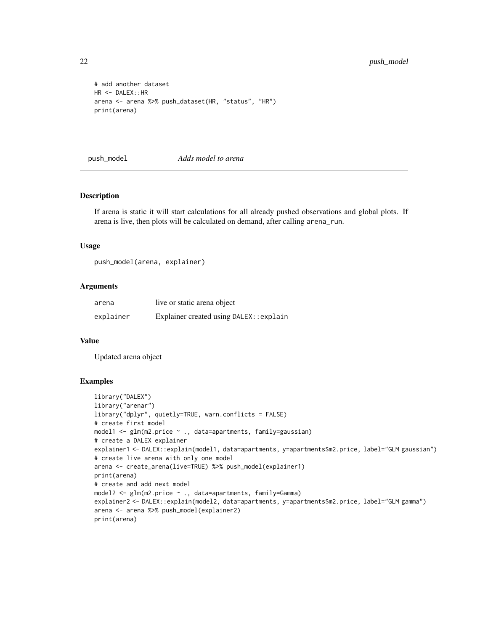```
# add another dataset
HR <- DALEX::HR
arena <- arena %>% push_dataset(HR, "status", "HR")
print(arena)
```
push\_model *Adds model to arena*

#### Description

If arena is static it will start calculations for all already pushed observations and global plots. If arena is live, then plots will be calculated on demand, after calling arena\_run.

#### Usage

push\_model(arena, explainer)

#### Arguments

| arena     | live or static arena object              |
|-----------|------------------------------------------|
| explainer | Explainer created using DALEX: : explain |

## Value

Updated arena object

#### Examples

```
library("DALEX")
library("arenar")
library("dplyr", quietly=TRUE, warn.conflicts = FALSE)
# create first model
model1 <- glm(m2.price ~ ., data=apartments, family=gaussian)
# create a DALEX explainer
explainer1 <- DALEX::explain(model1, data=apartments, y=apartments$m2.price, label="GLM gaussian")
# create live arena with only one model
arena <- create_arena(live=TRUE) %>% push_model(explainer1)
print(arena)
# create and add next model
model2 <- glm(m2.price ~ ., data=apartments, family=Gamma)
explainer2 <- DALEX::explain(model2, data=apartments, y=apartments$m2.price, label="GLM gamma")
arena <- arena %>% push_model(explainer2)
print(arena)
```
<span id="page-21-0"></span>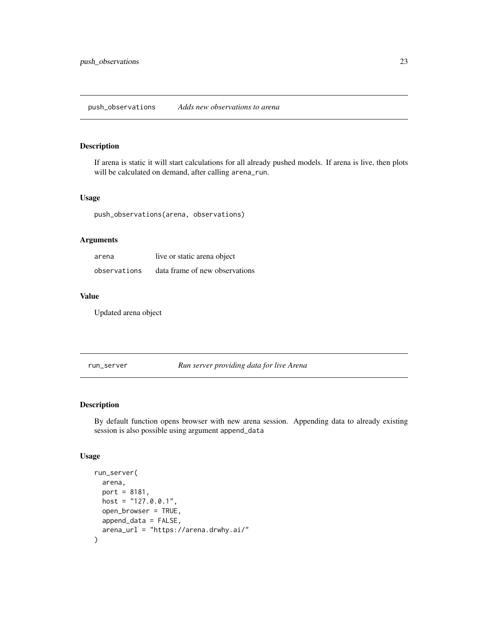<span id="page-22-0"></span>If arena is static it will start calculations for all already pushed models. If arena is live, then plots will be calculated on demand, after calling arena\_run.

#### Usage

push\_observations(arena, observations)

#### Arguments

| arena        | live or static arena object    |
|--------------|--------------------------------|
| observations | data frame of new observations |

#### Value

Updated arena object

run\_server *Run server providing data for live Arena*

## Description

By default function opens browser with new arena session. Appending data to already existing session is also possible using argument append\_data

#### Usage

```
run_server(
  arena,
  port = 8181,
 host = "127.0.0.1",
  open_browser = TRUE,
  append_data = FALSE,
  arena_url = "https://arena.drwhy.ai/"
\mathcal{E}
```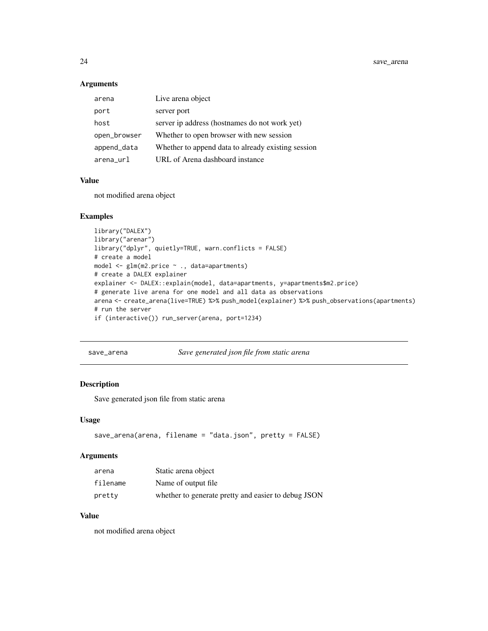<span id="page-23-0"></span>24 save\_arena

## Arguments

| arena        | Live arena object                                  |
|--------------|----------------------------------------------------|
| port         | server port                                        |
| host         | server ip address (hostnames do not work yet)      |
| open_browser | Whether to open browser with new session           |
| append_data  | Whether to append data to already existing session |
| arena url    | URL of Arena dashboard instance                    |

## Value

not modified arena object

## Examples

```
library("DALEX")
library("arenar")
library("dplyr", quietly=TRUE, warn.conflicts = FALSE)
# create a model
model <- glm(m2.price ~ ., data=apartments)
# create a DALEX explainer
explainer <- DALEX::explain(model, data=apartments, y=apartments$m2.price)
# generate live arena for one model and all data as observations
arena <- create_arena(live=TRUE) %>% push_model(explainer) %>% push_observations(apartments)
# run the server
if (interactive()) run_server(arena, port=1234)
```

```
save_arena Save generated json file from static arena
```
## Description

Save generated json file from static arena

#### Usage

```
save_arena(arena, filename = "data.json", pretty = FALSE)
```
## Arguments

| arena    | Static arena object                                 |
|----------|-----------------------------------------------------|
| filename | Name of output file.                                |
| pretty   | whether to generate pretty and easier to debug JSON |

## Value

not modified arena object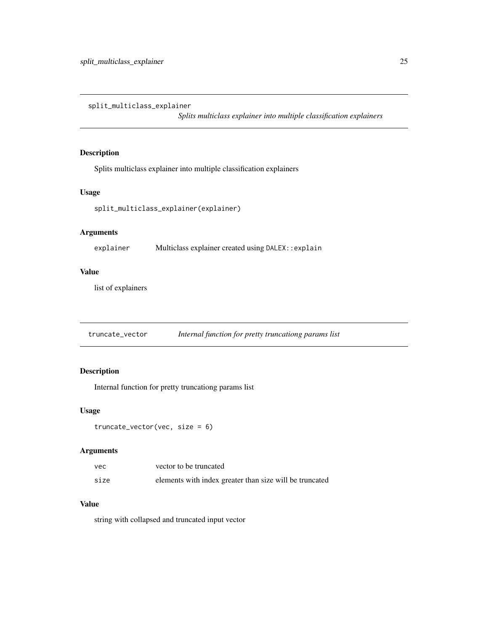<span id="page-24-0"></span>split\_multiclass\_explainer

*Splits multiclass explainer into multiple classification explainers*

## Description

Splits multiclass explainer into multiple classification explainers

## Usage

split\_multiclass\_explainer(explainer)

## Arguments

explainer Multiclass explainer created using DALEX::explain

## Value

list of explainers

truncate\_vector *Internal function for pretty truncationg params list*

## Description

Internal function for pretty truncationg params list

#### Usage

```
truncate_vector(vec, size = 6)
```
## Arguments

| vec  | vector to be truncated                                  |
|------|---------------------------------------------------------|
| size | elements with index greater than size will be truncated |

## Value

string with collapsed and truncated input vector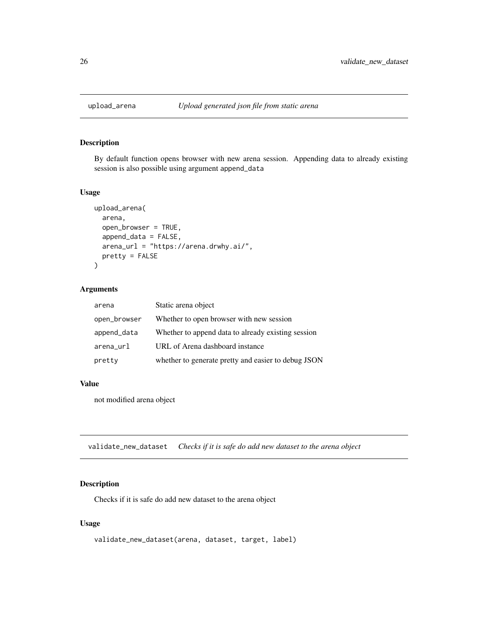<span id="page-25-0"></span>

By default function opens browser with new arena session. Appending data to already existing session is also possible using argument append\_data

## Usage

```
upload_arena(
  arena,
  open_browser = TRUE,
  append_data = FALSE,
  arena_url = "https://arena.drwhy.ai/",
 pretty = FALSE
)
```
## Arguments

| arena        | Static arena object                                 |
|--------------|-----------------------------------------------------|
| open_browser | Whether to open browser with new session            |
| append_data  | Whether to append data to already existing session  |
| arena_url    | URL of Arena dashboard instance                     |
| pretty       | whether to generate pretty and easier to debug JSON |

#### Value

not modified arena object

validate\_new\_dataset *Checks if it is safe do add new dataset to the arena object*

## Description

Checks if it is safe do add new dataset to the arena object

#### Usage

validate\_new\_dataset(arena, dataset, target, label)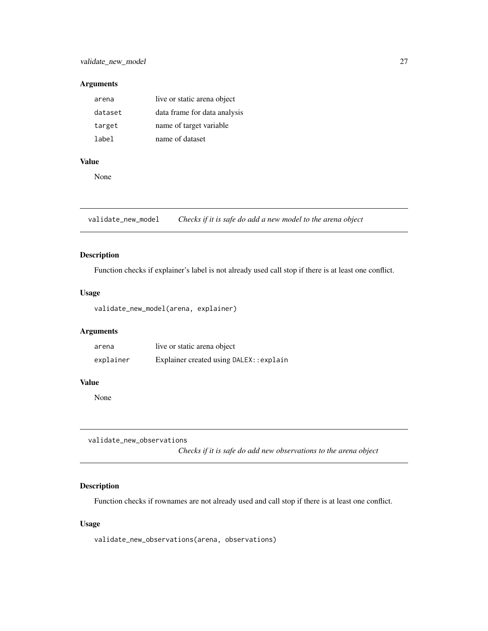#### <span id="page-26-0"></span>Arguments

| arena   | live or static arena object  |
|---------|------------------------------|
| dataset | data frame for data analysis |
| target  | name of target variable      |
| label   | name of dataset              |

## Value

None

validate\_new\_model *Checks if it is safe do add a new model to the arena object*

## Description

Function checks if explainer's label is not already used call stop if there is at least one conflict.

## Usage

validate\_new\_model(arena, explainer)

#### Arguments

| arena     | live or static arena object              |
|-----------|------------------------------------------|
| explainer | Explainer created using DALEX: : explain |

## Value

None

validate\_new\_observations

*Checks if it is safe do add new observations to the arena object*

## Description

Function checks if rownames are not already used and call stop if there is at least one conflict.

#### Usage

validate\_new\_observations(arena, observations)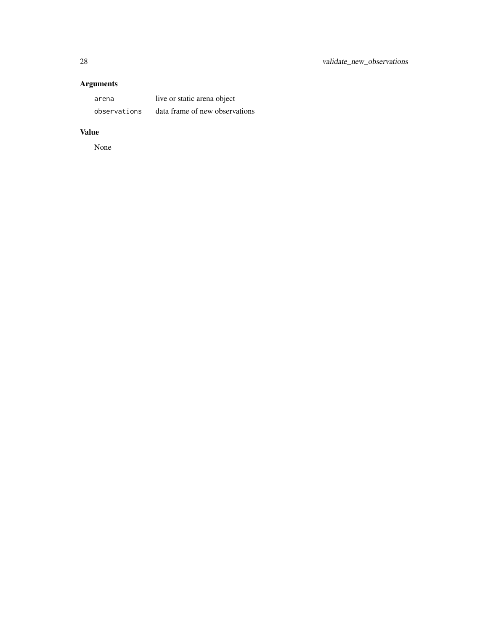## Arguments

| arena        | live or static arena object    |
|--------------|--------------------------------|
| observations | data frame of new observations |

## Value

None